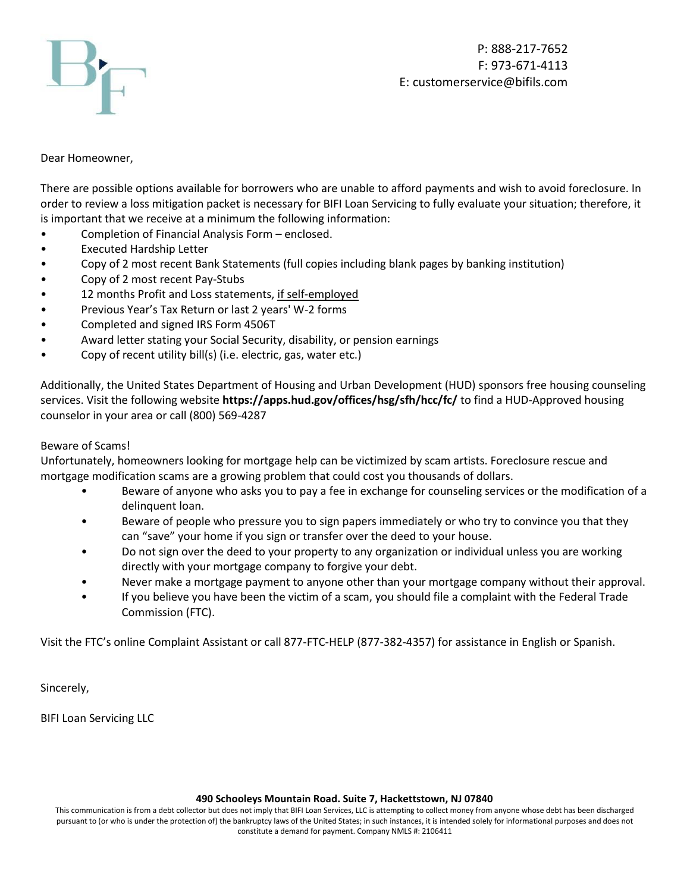

Dear Homeowner,

There are possible options available for borrowers who are unable to afford payments and wish to avoid foreclosure. In order to review a loss mitigation packet is necessary for BIFI Loan Servicing to fully evaluate your situation; therefore, it is important that we receive at a minimum the following information:

- Completion of Financial Analysis Form enclosed.
- Executed Hardship Letter
- Copy of 2 most recent Bank Statements (full copies including blank pages by banking institution)
- Copy of 2 most recent Pay-Stubs
- 12 months Profit and Loss statements, if self-employed
- Previous Year's Tax Return or last 2 years' W-2 forms
- Completed and signed IRS Form 4506T
- Award letter stating your Social Security, disability, or pension earnings
- Copy of recent utility bill(s) (i.e. electric, gas, water etc.)

Additionally, the United States Department of Housing and Urban Development (HUD) sponsors free housing counseling services. Visit the following website **https://apps.hud.gov/offices/hsg/sfh/hcc/fc/** to find a HUD-Approved housing counselor in your area or call (800) 569-4287

# Beware of Scams!

Unfortunately, homeowners looking for mortgage help can be victimized by scam artists. Foreclosure rescue and mortgage modification scams are a growing problem that could cost you thousands of dollars.

- Beware of anyone who asks you to pay a fee in exchange for counseling services or the modification of a delinquent loan.
- Beware of people who pressure you to sign papers immediately or who try to convince you that they can "save" your home if you sign or transfer over the deed to your house.
- Do not sign over the deed to your property to any organization or individual unless you are working directly with your mortgage company to forgive your debt.
- Never make a mortgage payment to anyone other than your mortgage company without their approval.
- If you believe you have been the victim of a scam, you should file a complaint with the Federal Trade Commission (FTC).

Visit the FTC's online Complaint Assistant or call 877-FTC-HELP (877-382-4357) for assistance in English or Spanish.

Sincerely,

BIFI Loan Servicing LLC

#### **490 Schooleys Mountain Road. Suite 7, Hackettstown, NJ 07840**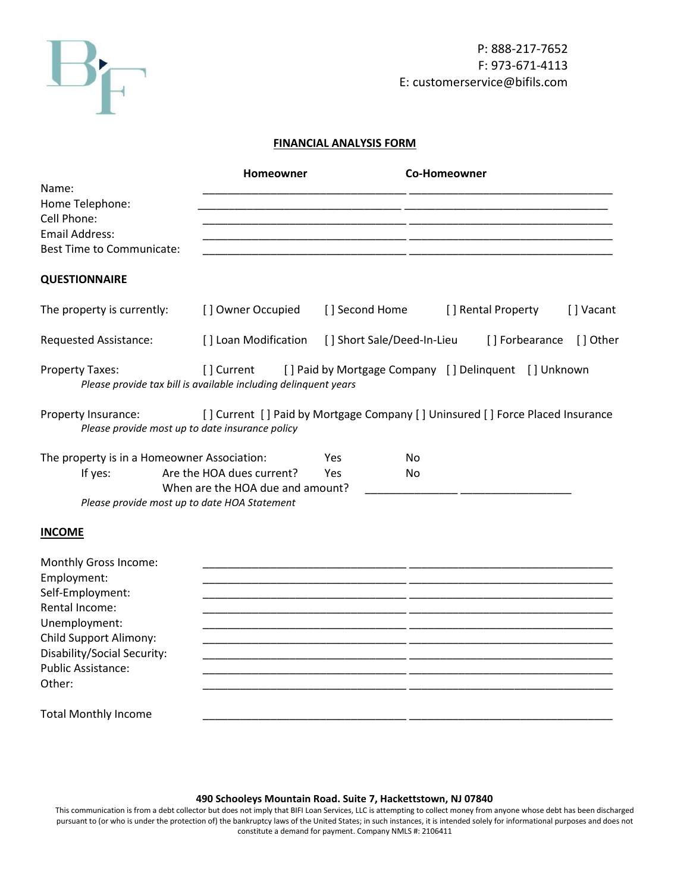

# P: 888-217-7652 F: 973-671-4113 E: customerservice@bifils.com

# **FINANCIAL ANALYSIS FORM**

| [] Vacant                                                                                                                                                                                |
|------------------------------------------------------------------------------------------------------------------------------------------------------------------------------------------|
| [] Other                                                                                                                                                                                 |
|                                                                                                                                                                                          |
|                                                                                                                                                                                          |
|                                                                                                                                                                                          |
|                                                                                                                                                                                          |
|                                                                                                                                                                                          |
|                                                                                                                                                                                          |
|                                                                                                                                                                                          |
|                                                                                                                                                                                          |
|                                                                                                                                                                                          |
|                                                                                                                                                                                          |
|                                                                                                                                                                                          |
|                                                                                                                                                                                          |
|                                                                                                                                                                                          |
|                                                                                                                                                                                          |
|                                                                                                                                                                                          |
|                                                                                                                                                                                          |
|                                                                                                                                                                                          |
| [] Rental Property<br>[] Forbearance<br>[] Current [] Paid by Mortgage Company [] Delinquent [] Unknown<br>[] Current [] Paid by Mortgage Company [] Uninsured [] Force Placed Insurance |

#### **490 Schooleys Mountain Road. Suite 7, Hackettstown, NJ 07840**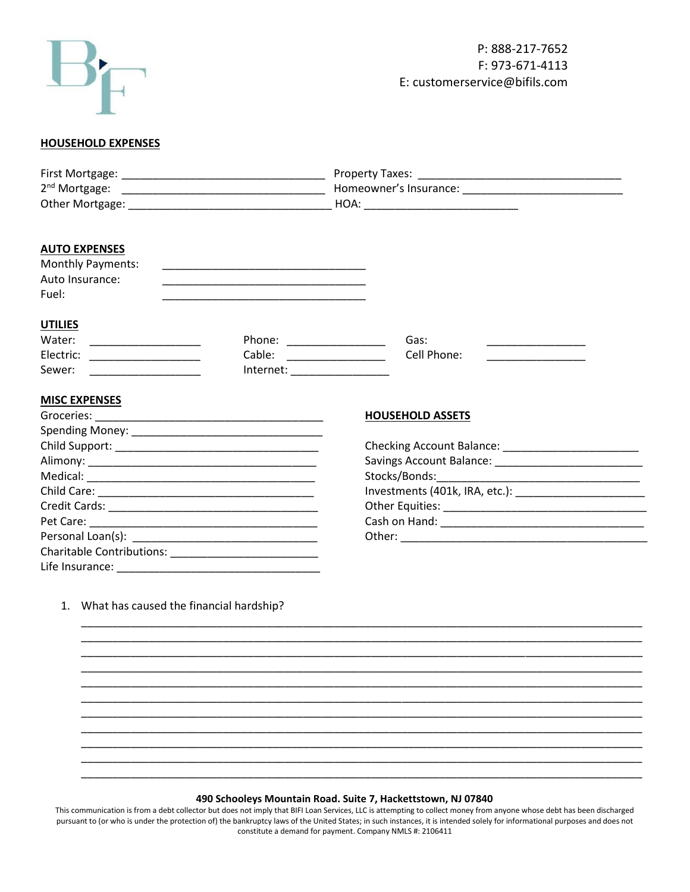

## **HOUSEHOLD EXPENSES**

| <b>AUTO EXPENSES</b>                       |                                                                                                                      |                                                      |  |
|--------------------------------------------|----------------------------------------------------------------------------------------------------------------------|------------------------------------------------------|--|
| <b>Monthly Payments:</b>                   |                                                                                                                      |                                                      |  |
| Auto Insurance:                            | <u> 1989 - Johann Stein, marwolaethau a bhann an t-Amhain an t-Amhain an t-Amhain an t-Amhain an t-Amhain an t-A</u> |                                                      |  |
| Fuel:                                      |                                                                                                                      |                                                      |  |
| <b>UTILIES</b>                             |                                                                                                                      |                                                      |  |
| Water:                                     |                                                                                                                      | Gas:<br>Phone: ________________                      |  |
| Electric: ____________________             |                                                                                                                      | Cell Phone:<br>Cable: _________________              |  |
| Sewer:                                     |                                                                                                                      |                                                      |  |
|                                            |                                                                                                                      |                                                      |  |
| <b>MISC EXPENSES</b>                       |                                                                                                                      |                                                      |  |
|                                            |                                                                                                                      | <b>HOUSEHOLD ASSETS</b>                              |  |
|                                            |                                                                                                                      |                                                      |  |
|                                            |                                                                                                                      | Checking Account Balance: __________________________ |  |
|                                            |                                                                                                                      |                                                      |  |
|                                            |                                                                                                                      |                                                      |  |
|                                            |                                                                                                                      |                                                      |  |
|                                            |                                                                                                                      |                                                      |  |
|                                            |                                                                                                                      |                                                      |  |
|                                            |                                                                                                                      |                                                      |  |
|                                            |                                                                                                                      |                                                      |  |
|                                            |                                                                                                                      |                                                      |  |
|                                            |                                                                                                                      |                                                      |  |
| 1. What has caused the financial hardship? |                                                                                                                      |                                                      |  |
|                                            |                                                                                                                      |                                                      |  |
|                                            |                                                                                                                      |                                                      |  |
|                                            |                                                                                                                      |                                                      |  |
|                                            |                                                                                                                      |                                                      |  |
|                                            |                                                                                                                      |                                                      |  |
|                                            |                                                                                                                      |                                                      |  |
|                                            |                                                                                                                      |                                                      |  |
|                                            |                                                                                                                      |                                                      |  |
|                                            |                                                                                                                      |                                                      |  |
|                                            |                                                                                                                      |                                                      |  |
|                                            |                                                                                                                      |                                                      |  |
|                                            |                                                                                                                      |                                                      |  |

## **490 Schooleys Mountain Road. Suite 7, Hackettstown, NJ 07840**